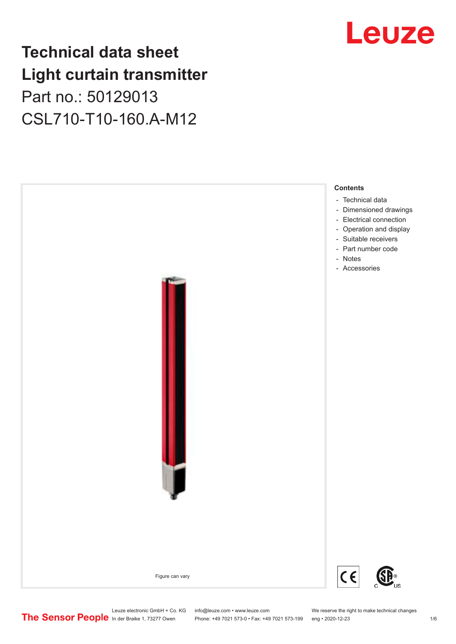## **Technical data sheet Light curtain transmitter** Part no.: 50129013 CSL710-T10-160.A-M12



## Leuze

Leuze electronic GmbH + Co. KG info@leuze.com • www.leuze.com We reserve the right to make technical changes<br>
The Sensor People in der Braike 1, 73277 Owen Phone: +49 7021 573-0 • Fax: +49 7021 573-199 eng • 2020-12-23

Phone: +49 7021 573-0 • Fax: +49 7021 573-199 eng • 2020-12-23 1 76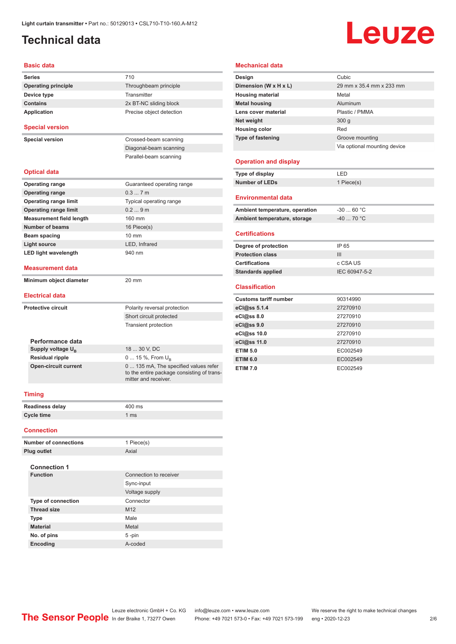## <span id="page-1-0"></span>**Technical data**

# Leuze

#### **Basic data**

| <b>Series</b>                   | 710                                                                                 |  |  |  |
|---------------------------------|-------------------------------------------------------------------------------------|--|--|--|
| <b>Operating principle</b>      | Throughbeam principle                                                               |  |  |  |
| Device type                     | Transmitter                                                                         |  |  |  |
| <b>Contains</b>                 | 2x BT-NC sliding block                                                              |  |  |  |
| Application                     | Precise object detection                                                            |  |  |  |
| <b>Special version</b>          |                                                                                     |  |  |  |
| <b>Special version</b>          | Crossed-beam scanning                                                               |  |  |  |
|                                 | Diagonal-beam scanning                                                              |  |  |  |
|                                 | Parallel-beam scanning                                                              |  |  |  |
| <b>Optical data</b>             |                                                                                     |  |  |  |
| <b>Operating range</b>          | Guaranteed operating range                                                          |  |  |  |
| <b>Operating range</b>          | 0.37m                                                                               |  |  |  |
| <b>Operating range limit</b>    | Typical operating range                                                             |  |  |  |
| <b>Operating range limit</b>    | 0.29m                                                                               |  |  |  |
| <b>Measurement field length</b> | 160 mm                                                                              |  |  |  |
| <b>Number of beams</b>          | 16 Piece(s)                                                                         |  |  |  |
| <b>Beam spacing</b>             | $10 \text{ mm}$                                                                     |  |  |  |
| Light source                    | LED, Infrared                                                                       |  |  |  |
| <b>LED light wavelength</b>     | 940 nm                                                                              |  |  |  |
| <b>Measurement data</b>         |                                                                                     |  |  |  |
| Minimum object diameter         | 20 mm                                                                               |  |  |  |
| <b>Electrical data</b>          |                                                                                     |  |  |  |
| <b>Protective circuit</b>       | Polarity reversal protection                                                        |  |  |  |
|                                 | Short circuit protected                                                             |  |  |  |
|                                 | <b>Transient protection</b>                                                         |  |  |  |
| Performance data                |                                                                                     |  |  |  |
| Supply voltage $U_{B}$          | 18  30 V, DC                                                                        |  |  |  |
| <b>Residual ripple</b>          | 0  15 %, From $U_{\rm B}$                                                           |  |  |  |
| <b>Open-circuit current</b>     | 0  135 mA, The specified values refer<br>to the entire package consisting of trans- |  |  |  |
|                                 | mitter and receiver.                                                                |  |  |  |
| <b>Timing</b>                   |                                                                                     |  |  |  |
| <b>Readiness delay</b>          | 400 ms                                                                              |  |  |  |
| <b>Cycle time</b>               | 1 <sub>ms</sub>                                                                     |  |  |  |
|                                 |                                                                                     |  |  |  |
| <b>Connection</b>               |                                                                                     |  |  |  |
| Number of connection            | $1 \text{Diagonal}$                                                                 |  |  |  |

#### **Mechanical data**

| Design                         | Cubic                        |
|--------------------------------|------------------------------|
| Dimension (W x H x L)          | 29 mm x 35.4 mm x 233 mm     |
| <b>Housing material</b>        | Metal                        |
| <b>Metal housing</b>           | Aluminum                     |
| Lens cover material            | Plastic / PMMA               |
| Net weight                     | 300q                         |
| <b>Housing color</b>           | Red                          |
| <b>Type of fastening</b>       | Groove mounting              |
|                                | Via optional mounting device |
|                                |                              |
| <b>Operation and display</b>   |                              |
| Type of display                | I FD                         |
| <b>Number of LEDs</b>          | 1 Piece(s)                   |
|                                |                              |
| <b>Environmental data</b>      |                              |
| Ambient temperature, operation | $-3060 °C$                   |
| Ambient temperature, storage   | $-4070 °C$                   |
|                                |                              |
| <b>Certifications</b>          |                              |
| Degree of protection           | IP 65                        |
| <b>Protection class</b>        | III                          |
| <b>Certifications</b>          | c CSA US                     |
| <b>Standards applied</b>       | IEC 60947-5-2                |
|                                |                              |
| <b>Classification</b>          |                              |
| <b>Customs tariff number</b>   | 90314990                     |
| eCl@ss 5.1.4                   | 27270910                     |
| $eC$ $\omega$ ss 8.0           | 27270910                     |

| <b>UUSLUMS LAMMI MUMBER</b> | 900 17990 |
|-----------------------------|-----------|
| eCl@ss 5.1.4                | 27270910  |
| eCl@ss 8.0                  | 27270910  |
| eCl@ss 9.0                  | 27270910  |
| eCl@ss 10.0                 | 27270910  |
| eCl@ss 11.0                 | 27270910  |
| <b>ETIM 5.0</b>             | EC002549  |
| <b>ETIM 6.0</b>             | EC002549  |
| <b>ETIM 7.0</b>             | EC002549  |
|                             |           |

| <b>Readiness delay</b> | $400$ ms       |
|------------------------|----------------|
| Cycle time             | $1 \text{ ms}$ |
| <b>Connection</b>      |                |

| <b>Number of connections</b> | 1 Piece(s)             |
|------------------------------|------------------------|
| <b>Plug outlet</b>           | Axial                  |
| <b>Connection 1</b>          |                        |
| <b>Function</b>              | Connection to receiver |
|                              | Sync-input             |
|                              | Voltage supply         |
| <b>Type of connection</b>    | Connector              |
| <b>Thread size</b>           | M <sub>12</sub>        |
| <b>Type</b>                  | Male                   |
| <b>Material</b>              | Metal                  |
| No. of pins                  | $5 - pin$              |
| Encoding                     | A-coded                |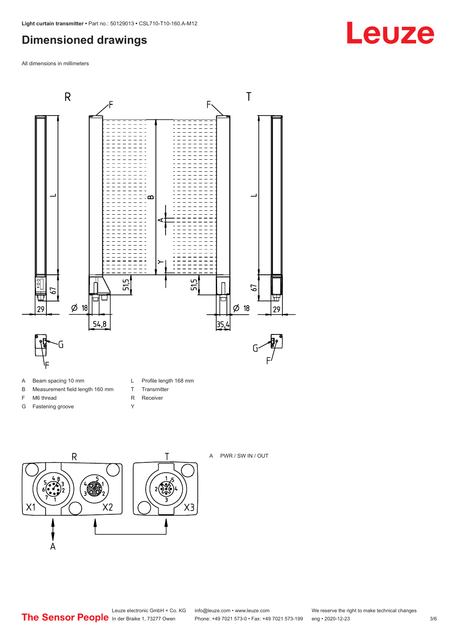## <span id="page-2-0"></span>**Dimensioned drawings**

All dimensions in millimeters



- B Measurement field length 160 mm
- F M6 thread
- G Fastening groove
- L Profile length 168 mm
- T Transmitter R Receiver
- Y
- $\overline{R}$ Τ  $2\sqrt{2}$  $X<sub>2</sub>$ X1  $\overline{A}$



#### A PWR / SW IN / OUT

Leuze electronic GmbH + Co. KG info@leuze.com • www.leuze.com We reserve the right to make technical changes<br>
The Sensor People in der Braike 1, 73277 Owen Phone: +49 7021 573-0 • Fax: +49 7021 573-199 eng • 2020-12-23

Phone: +49 7021 573-0 • Fax: +49 7021 573-199 eng • 2020-12-23 3/6

## **Leuze**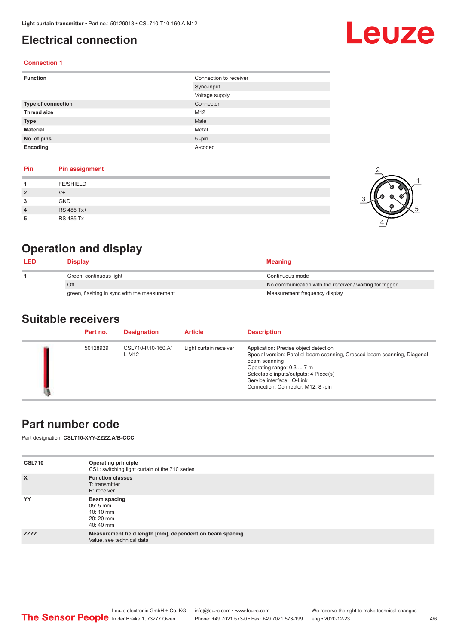## <span id="page-3-0"></span>**Electrical connection**

#### **Connection 1**

| <b>Function</b>           | Connection to receiver |
|---------------------------|------------------------|
|                           | Sync-input             |
|                           | Voltage supply         |
| <b>Type of connection</b> | Connector              |
| <b>Thread size</b>        | M12                    |
| <b>Type</b>               | Male                   |
| <b>Material</b>           | Metal                  |
| No. of pins               | $5$ -pin               |
| Encoding                  | A-coded                |

#### **Pin Pin assignment**

|                | <b>FE/SHIELD</b> |  |
|----------------|------------------|--|
| $\overline{2}$ | V+               |  |
| 3              | <b>GND</b>       |  |
| 4              | RS 485 Tx+       |  |
| 5              | RS 485 Tx-       |  |

## **Operation and display**

| <b>LED</b> | Display                                      | <b>Meaning</b>                                           |
|------------|----------------------------------------------|----------------------------------------------------------|
|            | Green, continuous light                      | Continuous mode                                          |
|            | Off                                          | No communication with the receiver / waiting for trigger |
|            | green, flashing in sync with the measurement | Measurement frequency display                            |

### **Suitable receivers**

| Part no. | <b>Designation</b>         | <b>Article</b>         | <b>Description</b>                                                                                                                                                                                                                                                           |
|----------|----------------------------|------------------------|------------------------------------------------------------------------------------------------------------------------------------------------------------------------------------------------------------------------------------------------------------------------------|
| 50128929 | CSL710-R10-160.A/<br>L-M12 | Light curtain receiver | Application: Precise object detection<br>Special version: Parallel-beam scanning, Crossed-beam scanning, Diagonal-<br>beam scanning<br>Operating range: 0.3  7 m<br>Selectable inputs/outputs: 4 Piece(s)<br>Service interface: IO-Link<br>Connection: Connector, M12, 8-pin |

## **Part number code**

Part designation: **CSL710-XYY-ZZZZ.A/B-CCC**

| <b>CSL710</b> | <b>Operating principle</b><br>CSL: switching light curtain of the 710 series          |
|---------------|---------------------------------------------------------------------------------------|
| $\mathsf{x}$  | <b>Function classes</b><br>T: transmitter<br>R: receiver                              |
| YY            | Beam spacing<br>$05:5 \, \text{mm}$<br>$10:10 \, \text{mm}$<br>$20:20$ mm<br>40:40 mm |
| <b>ZZZZ</b>   | Measurement field length [mm], dependent on beam spacing<br>Value, see technical data |



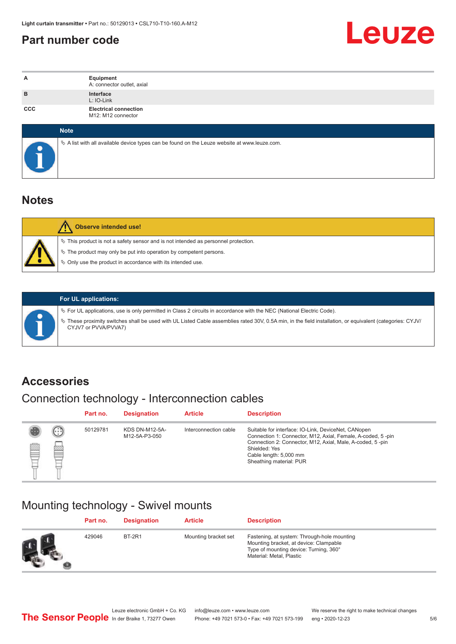## <span id="page-4-0"></span>**Part number code**



| A   | Equipment<br>A: connector outlet, axial                                                         |
|-----|-------------------------------------------------------------------------------------------------|
| B   | Interface<br>L: IO-Link                                                                         |
| CCC | <b>Electrical connection</b><br>M12: M12 connector                                              |
|     | <b>Note</b>                                                                                     |
|     | $\&$ A list with all available device types can be found on the Leuze website at www.leuze.com. |

## **Notes**

| <b>Observe intended use!</b>                                                                                                                                                                                                  |
|-------------------------------------------------------------------------------------------------------------------------------------------------------------------------------------------------------------------------------|
| $\%$ This product is not a safety sensor and is not intended as personnel protection.<br>₹ The product may only be put into operation by competent persons.<br>$\%$ Only use the product in accordance with its intended use. |

ª These proximity switches shall be used with UL Listed Cable assemblies rated 30V, 0.5A min, in the field installation, or equivalent (categories: CYJV/

ª For UL applications, use is only permitted in Class 2 circuits in accordance with the NEC (National Electric Code).

**For UL applications:**

CYJV7 or PVVA/PVVA7)

**Accessories**

## Connection technology - Interconnection cables

|   |        | Part no. | <b>Designation</b>                     | <b>Article</b>        | <b>Description</b>                                                                                                                                                                                                                                    |
|---|--------|----------|----------------------------------------|-----------------------|-------------------------------------------------------------------------------------------------------------------------------------------------------------------------------------------------------------------------------------------------------|
| Ø | ⊕<br>幽 | 50129781 | <b>KDS DN-M12-5A-</b><br>M12-5A-P3-050 | Interconnection cable | Suitable for interface: IO-Link, DeviceNet, CANopen<br>Connection 1: Connector, M12, Axial, Female, A-coded, 5-pin<br>Connection 2: Connector, M12, Axial, Male, A-coded, 5-pin<br>Shielded: Yes<br>Cable length: 5,000 mm<br>Sheathing material: PUR |

## Mounting technology - Swivel mounts

|    | Part no. | <b>Designation</b> | <b>Article</b>       | <b>Description</b>                                                                                                                                          |
|----|----------|--------------------|----------------------|-------------------------------------------------------------------------------------------------------------------------------------------------------------|
| Ø. | 429046   | <b>BT-2R1</b>      | Mounting bracket set | Fastening, at system: Through-hole mounting<br>Mounting bracket, at device: Clampable<br>Type of mounting device: Turning, 360°<br>Material: Metal, Plastic |